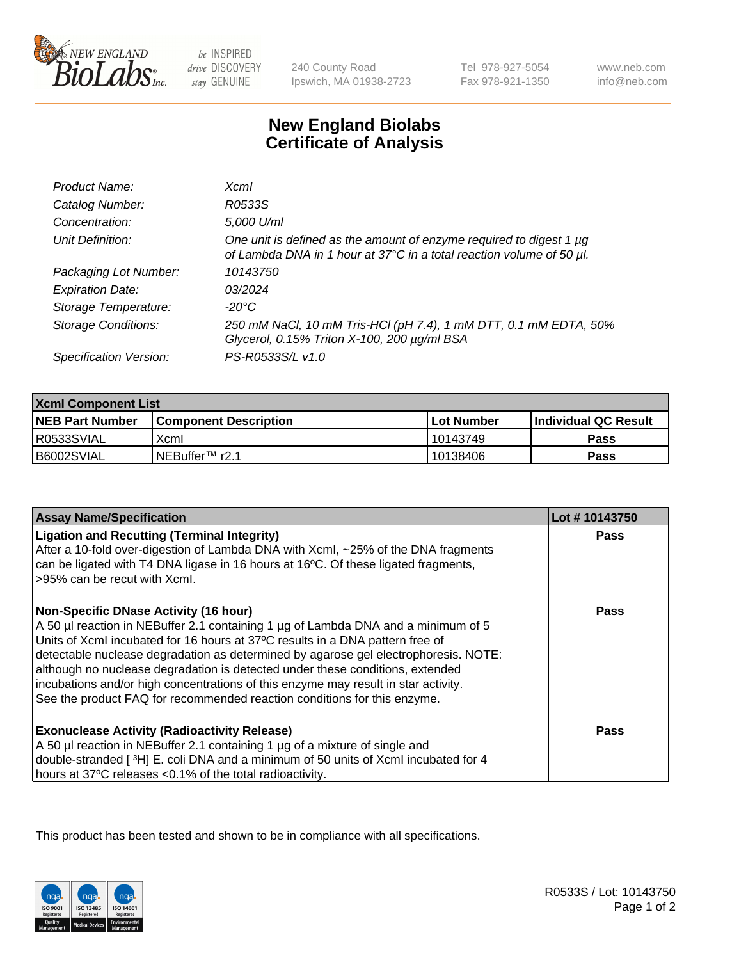

 $be$  INSPIRED drive DISCOVERY stay GENUINE

240 County Road Ipswich, MA 01938-2723 Tel 978-927-5054 Fax 978-921-1350

www.neb.com info@neb.com

## **New England Biolabs Certificate of Analysis**

| Product Name:              | $X$ cm $I$                                                                                                                                       |
|----------------------------|--------------------------------------------------------------------------------------------------------------------------------------------------|
| Catalog Number:            | R0533S                                                                                                                                           |
| Concentration:             | 5,000 U/ml                                                                                                                                       |
| Unit Definition:           | One unit is defined as the amount of enzyme required to digest 1 $\mu$ g<br>of Lambda DNA in 1 hour at 37°C in a total reaction volume of 50 µl. |
| Packaging Lot Number:      | 10143750                                                                                                                                         |
| <b>Expiration Date:</b>    | 03/2024                                                                                                                                          |
| Storage Temperature:       | -20°C                                                                                                                                            |
| <b>Storage Conditions:</b> | 250 mM NaCl, 10 mM Tris-HCl (pH 7.4), 1 mM DTT, 0.1 mM EDTA, 50%<br>Glycerol, 0.15% Triton X-100, 200 µg/ml BSA                                  |
| Specification Version:     | PS-R0533S/L v1.0                                                                                                                                 |

| <b>Xcml Component List</b> |                              |                   |                             |  |
|----------------------------|------------------------------|-------------------|-----------------------------|--|
| <b>NEB Part Number</b>     | <b>Component Description</b> | <b>Lot Number</b> | <b>Individual QC Result</b> |  |
| R0533SVIAL                 | Xcml                         | 10143749          | Pass                        |  |
| B6002SVIAL                 | i NEBuffer™ r2.1             | 10138406          | Pass                        |  |

| <b>Assay Name/Specification</b>                                                                                                                                                                                                                                                                                                                                                                                                                                                                                                                              | Lot #10143750 |
|--------------------------------------------------------------------------------------------------------------------------------------------------------------------------------------------------------------------------------------------------------------------------------------------------------------------------------------------------------------------------------------------------------------------------------------------------------------------------------------------------------------------------------------------------------------|---------------|
| <b>Ligation and Recutting (Terminal Integrity)</b><br>After a 10-fold over-digestion of Lambda DNA with Xcml, ~25% of the DNA fragments<br>can be ligated with T4 DNA ligase in 16 hours at 16°C. Of these ligated fragments,<br>>95% can be recut with Xcml.                                                                                                                                                                                                                                                                                                | <b>Pass</b>   |
| <b>Non-Specific DNase Activity (16 hour)</b><br>A 50 µl reaction in NEBuffer 2.1 containing 1 µg of Lambda DNA and a minimum of 5<br>Units of XcmI incubated for 16 hours at 37°C results in a DNA pattern free of<br>detectable nuclease degradation as determined by agarose gel electrophoresis. NOTE:<br>although no nuclease degradation is detected under these conditions, extended<br>incubations and/or high concentrations of this enzyme may result in star activity.<br>See the product FAQ for recommended reaction conditions for this enzyme. | Pass          |
| <b>Exonuclease Activity (Radioactivity Release)</b><br>A 50 µl reaction in NEBuffer 2.1 containing 1 µg of a mixture of single and<br>double-stranded [3H] E. coli DNA and a minimum of 50 units of XcmI incubated for 4<br>hours at 37°C releases <0.1% of the total radioactivity.                                                                                                                                                                                                                                                                         | Pass          |

This product has been tested and shown to be in compliance with all specifications.